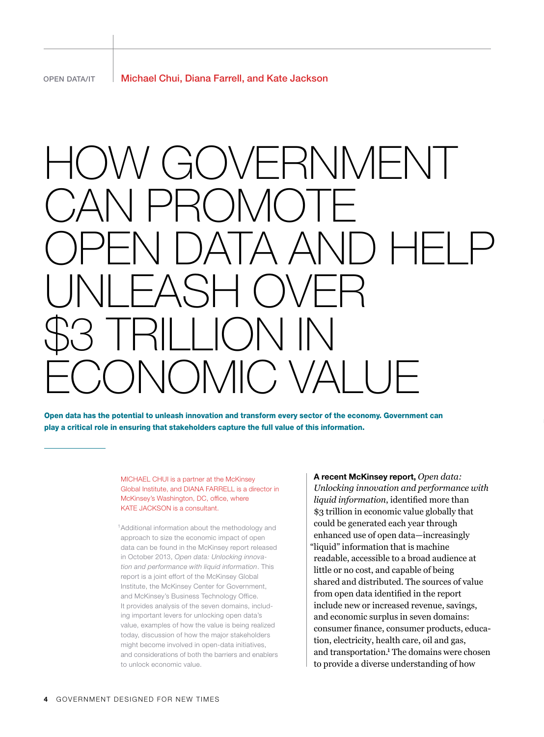# GOVERNMENT CAN PROMOTE OPEN DATA AND HELP UNLEASH OVER \$3 TRILLION IN ECONOMIC VALUE

Open data has the potential to unleash innovation and transform every sector of the economy. Government can play a critical role in ensuring that stakeholders capture the full value of this information.

> MICHAEL CHUI is a partner at the McKinsey Global Institute, and DIANA FARRELL is a director in McKinsey's Washington, DC, office, where KATE JACKSON is a consultant.

<sup>1</sup> Additional information about the methodology and approach to size the economic impact of open data can be found in the McKinsey report released in October 2013, *Open data: Unlocking innovation and performance with liquid information*. This report is a joint effort of the McKinsey Global Institute, the McKinsey Center for Government, and McKinsey's Business Technology Office. It provides analysis of the seven domains, including important levers for unlocking open data's value, examples of how the value is being realized today, discussion of how the major stakeholders might become involved in open-data initiatives, and considerations of both the barriers and enablers to unlock economic value.

A recent McKinsey report, *Open data: Unlocking innovation and performance with liquid information*, identified more than \$3 trillion in economic value globally that could be generated each year through enhanced use of open data—increasingly "liquid" information that is machine readable, accessible to a broad audience at little or no cost, and capable of being shared and distributed. The sources of value from open data identified in the report include new or increased revenue, savings, and economic surplus in seven domains: consumer finance, consumer products, education, electricity, health care, oil and gas, and transportation.<sup>1</sup> The domains were chosen to provide a diverse understanding of how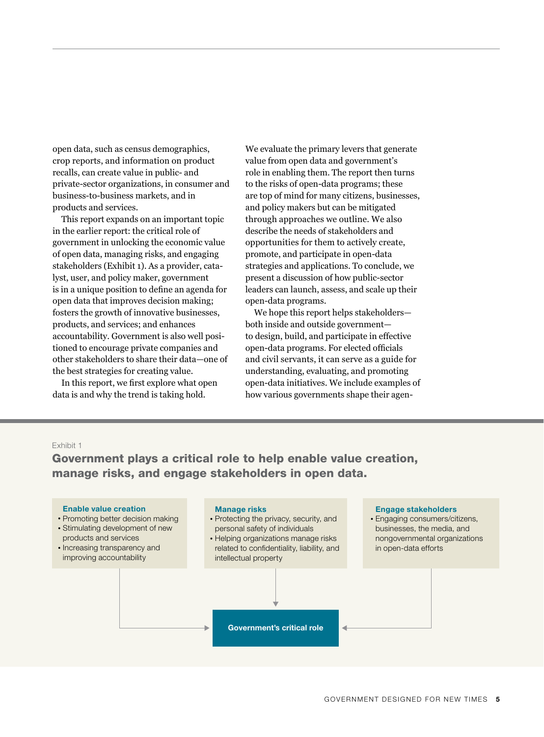open data, such as census demographics, crop reports, and information on product recalls, can create value in public- and private-sector organizations, in consumer and business-to-business markets, and in products and services.

This report expands on an important topic in the earlier report: the critical role of government in unlocking the economic value of open data, managing risks, and engaging stakeholders (Exhibit 1). As a provider, catalyst, user, and policy maker, government is in a unique position to define an agenda for open data that improves decision making; fosters the growth of innovative businesses, products, and services; and enhances accountability. Government is also well positioned to encourage private companies and other stakeholders to share their data—one of the best strategies for creating value.

In this report, we first explore what open data is and why the trend is taking hold.

We evaluate the primary levers that generate value from open data and government's role in enabling them. The report then turns to the risks of open-data programs; these are top of mind for many citizens, businesses, and policy makers but can be mitigated through approaches we outline. We also describe the needs of stakeholders and opportunities for them to actively create, promote, and participate in open-data strategies and applications. To conclude, we present a discussion of how public-sector leaders can launch, assess, and scale up their open-data programs.

We hope this report helps stakeholders both inside and outside government to design, build, and participate in effective open-data programs. For elected officials and civil servants, it can serve as a guide for understanding, evaluating, and promoting open-data initiatives. We include examples of how various governments shape their agen-

#### Exhibit 1

Government plays a critical role to help enable value creation, manage risks, and engage stakeholders in open data.

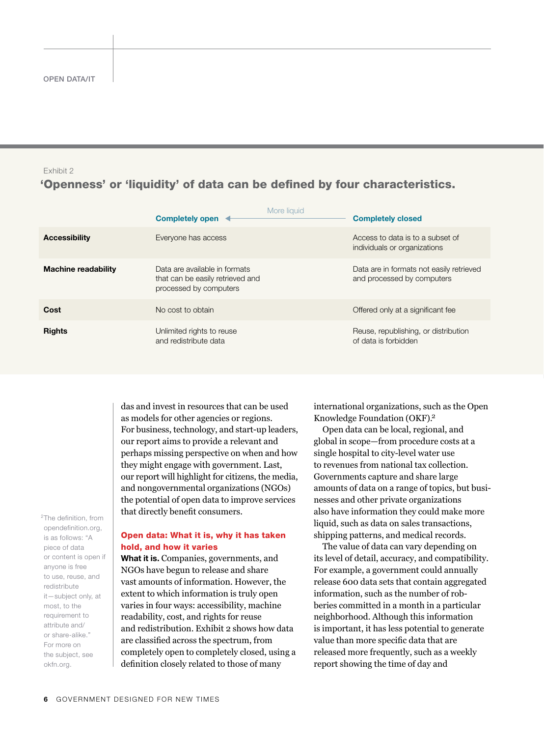## Exhibit 2

## 'Openness' or 'liquidity' of data can be defined by four characteristics.

|                            | More liquid<br>Completely open                                                              | <b>Completely closed</b>                                               |
|----------------------------|---------------------------------------------------------------------------------------------|------------------------------------------------------------------------|
| <b>Accessibility</b>       | Everyone has access                                                                         | Access to data is to a subset of<br>individuals or organizations       |
| <b>Machine readability</b> | Data are available in formats<br>that can be easily retrieved and<br>processed by computers | Data are in formats not easily retrieved<br>and processed by computers |
| Cost                       | No cost to obtain                                                                           | Offered only at a significant fee                                      |
| <b>Rights</b>              | Unlimited rights to reuse<br>and redistribute data                                          | Reuse, republishing, or distribution<br>of data is forbidden           |

das and invest in resources that can be used as models for other agencies or regions. For business, technology, and start-up leaders, our report aims to provide a relevant and perhaps missing perspective on when and how they might engage with government. Last, our report will highlight for citizens, the media, and nongovernmental organizations (NGOs) the potential of open data to improve services that directly benefit consumers.

<sup>2</sup>The definition, from opendefinition.org, is as follows: "A piece of data or content is open if anyone is free to use, reuse, and redistribute it—subject only, at most, to the requirement to attribute and/ or share-alike." For more on the subject, see okfn.org.

## Open data: What it is, why it has taken hold, and how it varies

What it is. Companies, governments, and NGOs have begun to release and share vast amounts of information. However, the extent to which information is truly open varies in four ways: accessibility, machine readability, cost, and rights for reuse and redistribution. Exhibit 2 shows how data are classified across the spectrum, from completely open to completely closed, using a definition closely related to those of many

international organizations, such as the Open Knowledge Foundation (OKF).2

Open data can be local, regional, and global in scope—from procedure costs at a single hospital to city-level water use to revenues from national tax collection. Governments capture and share large amounts of data on a range of topics, but businesses and other private organizations also have information they could make more liquid, such as data on sales transactions, shipping patterns, and medical records.

The value of data can vary depending on its level of detail, accuracy, and compatibility. For example, a government could annually release 600 data sets that contain aggregated information, such as the number of robberies committed in a month in a particular neighborhood. Although this information is important, it has less potential to generate value than more specific data that are released more frequently, such as a weekly report showing the time of day and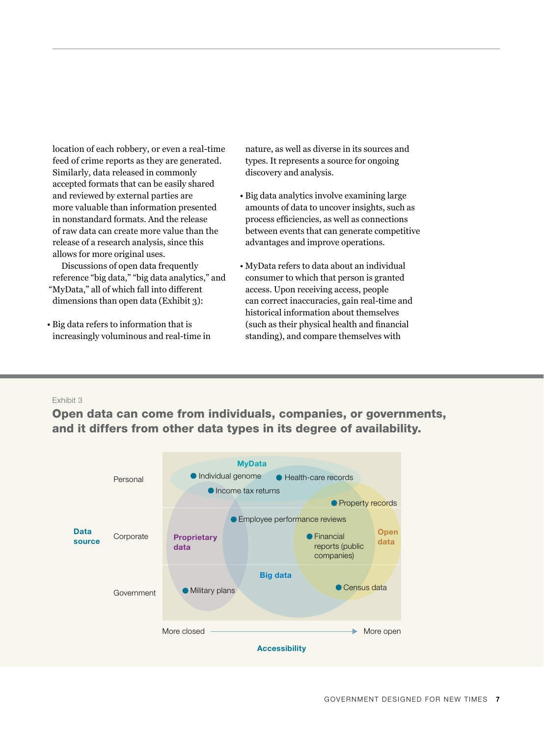location of each robbery, or even a real-time feed of crime reports as they are generated. Similarly, data released in commonly accepted formats that can be easily shared and reviewed by external parties are more valuable than information presented in nonstandard formats. And the release of raw data can create more value than the release of a research analysis, since this allows for more original uses.

Discussions of open data frequently reference "big data," "big data analytics," and "MyData," all of which fall into different dimensions than open data (Exhibit 3):

• Big data refers to information that is  $($ increasingly voluminous and real-time in

nature, as well as diverse in its sources and types. It represents a source for ongoing discovery and analysis.

- Big data analytics involve examining large amounts of data to uncover insights, such as process efficiencies, as well as connections between events that can generate competitive advantages and improve operations.
- MyData refers to data about an individual consumer to which that person is granted access. Upon receiving access, people can correct inaccuracies, gain real-time and historical information about themselves (such as their physical health and financial standing), and compare themselves with

## Exhibit 3

Open data can come from individuals, companies, or governments, and it differs from other data types in its degree of availability.

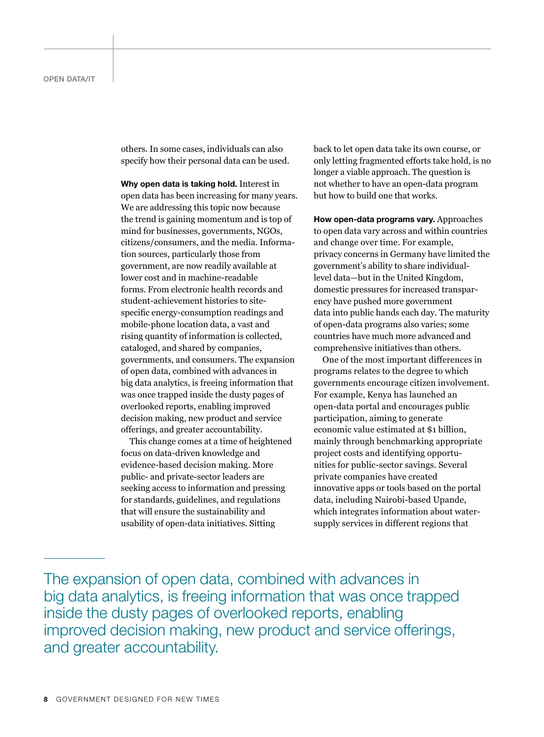others. In some cases, individuals can also specify how their personal data can be used.

Why open data is taking hold. Interest in open data has been increasing for many years. We are addressing this topic now because the trend is gaining momentum and is top of mind for businesses, governments, NGOs, citizens/consumers, and the media. Information sources, particularly those from government, are now readily available at lower cost and in machine-readable forms. From electronic health records and student-achievement histories to sitespecific energy-consumption readings and mobile-phone location data, a vast and rising quantity of information is collected, cataloged, and shared by companies, governments, and consumers. The expansion of open data, combined with advances in big data analytics, is freeing information that was once trapped inside the dusty pages of overlooked reports, enabling improved decision making, new product and service offerings, and greater accountability.

This change comes at a time of heightened focus on data-driven knowledge and evidence-based decision making. More public- and private-sector leaders are seeking access to information and pressing for standards, guidelines, and regulations that will ensure the sustainability and usability of open-data initiatives. Sitting

back to let open data take its own course, or only letting fragmented efforts take hold, is no longer a viable approach. The question is not whether to have an open-data program but how to build one that works.

How open-data programs vary. Approaches to open data vary across and within countries and change over time. For example, privacy concerns in Germany have limited the government's ability to share individuallevel data—but in the United Kingdom, domestic pressures for increased transparency have pushed more government data into public hands each day. The maturity of open-data programs also varies; some countries have much more advanced and comprehensive initiatives than others.

One of the most important differences in programs relates to the degree to which governments encourage citizen involvement. For example, Kenya has launched an open-data portal and encourages public participation, aiming to generate economic value estimated at \$1 billion, mainly through benchmarking appropriate project costs and identifying opportunities for public-sector savings. Several private companies have created innovative apps or tools based on the portal data, including Nairobi-based Upande, which integrates information about watersupply services in different regions that

The expansion of open data, combined with advances in big data analytics, is freeing information that was once trapped inside the dusty pages of overlooked reports, enabling improved decision making, new product and service offerings, and greater accountability.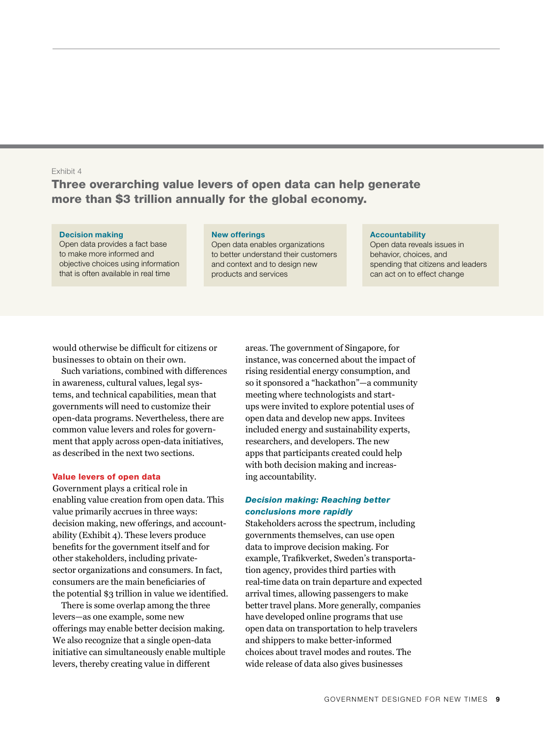## Exhibit 4

# Three overarching value levers of open data can help generate more than \$3 trillion annually for the global economy.

#### Decision making

Open data provides a fact base to make more informed and objective choices using information that is often available in real time

#### New offerings

Open data enables organizations to better understand their customers and context and to design new products and services

#### **Accountability**

Open data reveals issues in behavior, choices, and spending that citizens and leaders can act on to effect change

would otherwise be difficult for citizens or businesses to obtain on their own.

Such variations, combined with differences in awareness, cultural values, legal systems, and technical capabilities, mean that governments will need to customize their open-data programs. Nevertheless, there are common value levers and roles for government that apply across open-data initiatives, as described in the next two sections.

#### Value levers of open data

Government plays a critical role in enabling value creation from open data. This value primarily accrues in three ways: decision making, new offerings, and accountability (Exhibit 4). These levers produce benefits for the government itself and for other stakeholders, including privatesector organizations and consumers. In fact, consumers are the main beneficiaries of the potential \$3 trillion in value we identified.

There is some overlap among the three levers—as one example, some new offerings may enable better decision making. We also recognize that a single open-data initiative can simultaneously enable multiple levers, thereby creating value in different

areas. The government of Singapore, for instance, was concerned about the impact of rising residential energy consumption, and so it sponsored a "hackathon"—a community meeting where technologists and startups were invited to explore potential uses of open data and develop new apps. Invitees included energy and sustainability experts, researchers, and developers. The new apps that participants created could help with both decision making and increasing accountability.

## *Decision making: Reaching better conclusions more rapidly*

Stakeholders across the spectrum, including governments themselves, can use open data to improve decision making. For example, Trafikverket, Sweden's transportation agency, provides third parties with real-time data on train departure and expected arrival times, allowing passengers to make better travel plans. More generally, companies have developed online programs that use open data on transportation to help travelers and shippers to make better-informed choices about travel modes and routes. The wide release of data also gives businesses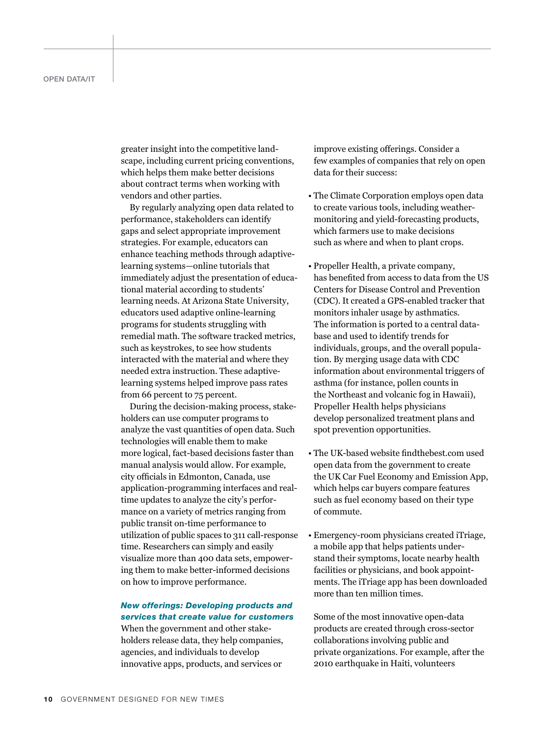greater insight into the competitive landscape, including current pricing conventions, which helps them make better decisions about contract terms when working with vendors and other parties.

By regularly analyzing open data related to performance, stakeholders can identify gaps and select appropriate improvement strategies. For example, educators can enhance teaching methods through adaptivelearning systems—online tutorials that immediately adjust the presentation of educational material according to students' learning needs. At Arizona State University, educators used adaptive online-learning programs for students struggling with remedial math. The software tracked metrics, such as keystrokes, to see how students interacted with the material and where they needed extra instruction. These adaptivelearning systems helped improve pass rates from 66 percent to 75 percent.

During the decision-making process, stakeholders can use computer programs to analyze the vast quantities of open data. Such technologies will enable them to make more logical, fact-based decisions faster than manual analysis would allow. For example, city officials in Edmonton, Canada, use application-programming interfaces and realtime updates to analyze the city's performance on a variety of metrics ranging from public transit on-time performance to utilization of public spaces to 311 call-response time. Researchers can simply and easily visualize more than 400 data sets, empowering them to make better-informed decisions on how to improve performance.

## *New offerings: Developing products and services that create value for customers*

When the government and other stakeholders release data, they help companies, agencies, and individuals to develop innovative apps, products, and services or improve existing offerings. Consider a few examples of companies that rely on open data for their success:

- The Climate Corporation employs open data to create various tools, including weathermonitoring and yield-forecasting products, which farmers use to make decisions such as where and when to plant crops.
- Propeller Health, a private company, has benefited from access to data from the US Centers for Disease Control and Prevention (CDC). It created a GPS-enabled tracker that monitors inhaler usage by asthmatics. The information is ported to a central database and used to identify trends for individuals, groups, and the overall population. By merging usage data with CDC information about environmental triggers of asthma (for instance, pollen counts in the Northeast and volcanic fog in Hawaii), Propeller Health helps physicians develop personalized treatment plans and spot prevention opportunities.
- The UK-based website findthebest.com used open data from the government to create the UK Car Fuel Economy and Emission App, which helps car buyers compare features such as fuel economy based on their type of commute.
- Emergency-room physicians created iTriage, a mobile app that helps patients understand their symptoms, locate nearby health facilities or physicians, and book appointments. The iTriage app has been downloaded more than ten million times.

Some of the most innovative open-data products are created through cross-sector collaborations involving public and private organizations. For example, after the 2010 earthquake in Haiti, volunteers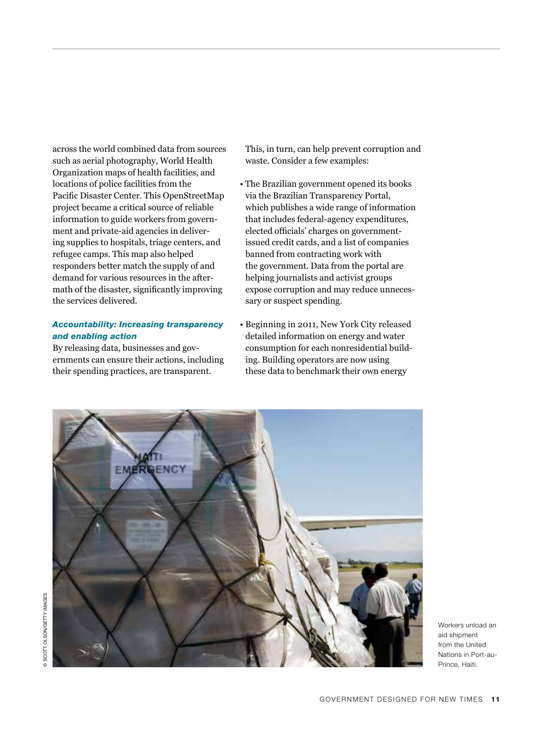across the world combined data from sources such as aerial photography, World Health Organization maps of health facilities, and locations of police facilities from the Pacific Disaster Center. This OpenStreetMap project became a critical source of reliable information to guide workers from government and private-aid agencies in delivering supplies to hospitals, triage centers, and refugee camps. This map also helped responders better match the supply of and demand for various resources in the aftermath of the disaster, significantly improving the services delivered.

## *Accountability: Increasing transparency and enabling action*

By releasing data, businesses and governments can ensure their actions, including their spending practices, are transparent.

This, in turn, can help prevent corruption and waste. Consider a few examples:

- The Brazilian government opened its books via the Brazilian Transparency Portal, which publishes a wide range of information that includes federal-agency expenditures, elected officials' charges on governmentissued credit cards, and a list of companies banned from contracting work with the government. Data from the portal are helping journalists and activist groups expose corruption and may reduce unnecessary or suspect spending.
- Beginning in 2011, New York City released detailed information on energy and water consumption for each nonresidential building. Building operators are now using these data to benchmark their own energy

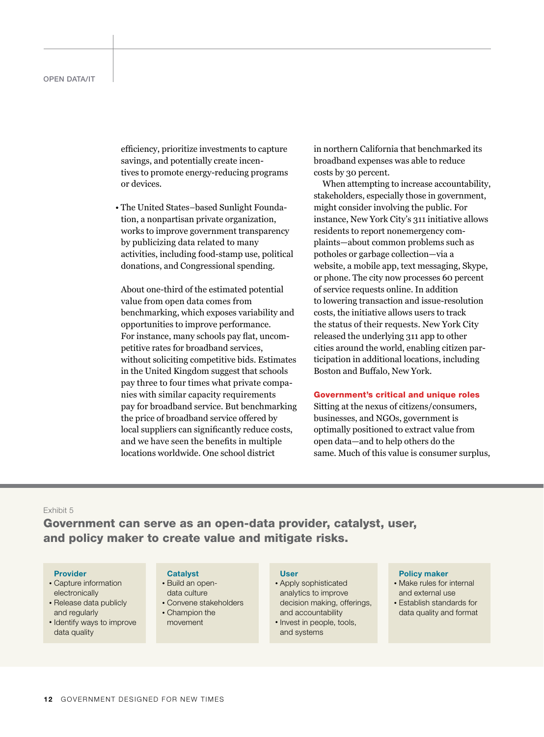efficiency, prioritize investments to capture savings, and potentially create incentives to promote energy-reducing programs or devices.

• The United States–based Sunlight Foundation, a nonpartisan private organization, works to improve government transparency by publicizing data related to many activities, including food-stamp use, political donations, and Congressional spending.

About one-third of the estimated potential value from open data comes from benchmarking, which exposes variability and opportunities to improve performance. For instance, many schools pay flat, uncompetitive rates for broadband services, without soliciting competitive bids. Estimates in the United Kingdom suggest that schools pay three to four times what private companies with similar capacity requirements pay for broadband service. But benchmarking the price of broadband service offered by local suppliers can significantly reduce costs, and we have seen the benefits in multiple locations worldwide. One school district

in northern California that benchmarked its broadband expenses was able to reduce costs by 30 percent.

When attempting to increase accountability, stakeholders, especially those in government, might consider involving the public. For instance, New York City's 311 initiative allows residents to report nonemergency complaints—about common problems such as potholes or garbage collection—via a website, a mobile app, text messaging, Skype, or phone. The city now processes 60 percent of service requests online. In addition to lowering transaction and issue-resolution costs, the initiative allows users to track the status of their requests. New York City released the underlying 311 app to other cities around the world, enabling citizen participation in additional locations, including Boston and Buffalo, New York.

#### Government's critical and unique roles

Sitting at the nexus of citizens/consumers, businesses, and NGOs, government is optimally positioned to extract value from open data—and to help others do the same. Much of this value is consumer surplus,

#### Exhibit 5

Government can serve as an open-data provider, catalyst, user, and policy maker to create value and mitigate risks.

#### Provider

- Capture information electronically
- Release data publicly and regularly
- Identify ways to improve data quality

#### **Catalyst**

- Build an opendata culture
- Convene stakeholders
- Champion the movement

## User

- Apply sophisticated analytics to improve decision making, offerings, and accountability
- Invest in people, tools, and systems

#### Policy maker

- Make rules for internal and external use
- Establish standards for data quality and format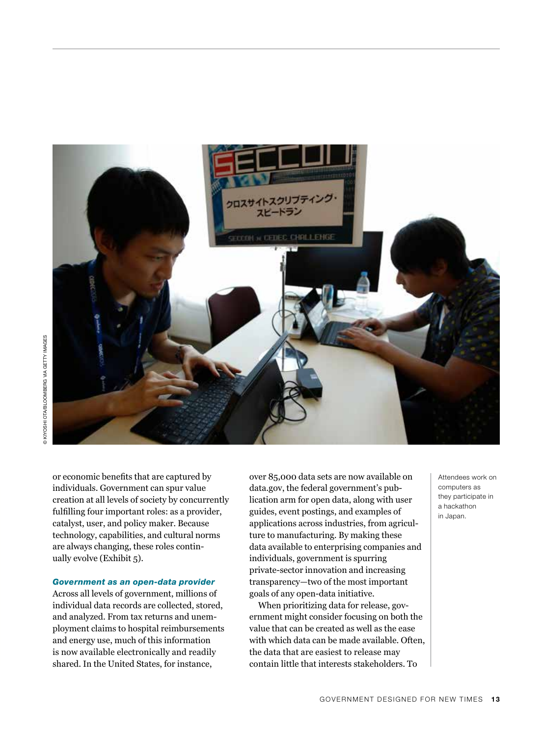

or economic benefits that are captured by individuals. Government can spur value creation at all levels of society by concurrently fulfilling four important roles: as a provider, catalyst, user, and policy maker. Because technology, capabilities, and cultural norms are always changing, these roles continually evolve (Exhibit 5).

## *Government as an open-data provider*

Across all levels of government, millions of individual data records are collected, stored, and analyzed. From tax returns and unemployment claims to hospital reimbursements and energy use, much of this information is now available electronically and readily shared. In the United States, for instance,

over 85,000 data sets are now available on data.gov, the federal government's publication arm for open data, along with user guides, event postings, and examples of applications across industries, from agriculture to manufacturing. By making these data available to enterprising companies and individuals, government is spurring private-sector innovation and increasing transparency—two of the most important goals of any open-data initiative.

When prioritizing data for release, government might consider focusing on both the value that can be created as well as the ease with which data can be made available. Often, the data that are easiest to release may contain little that interests stakeholders. To

Attendees work on computers as they participate in a hackathon in Japan.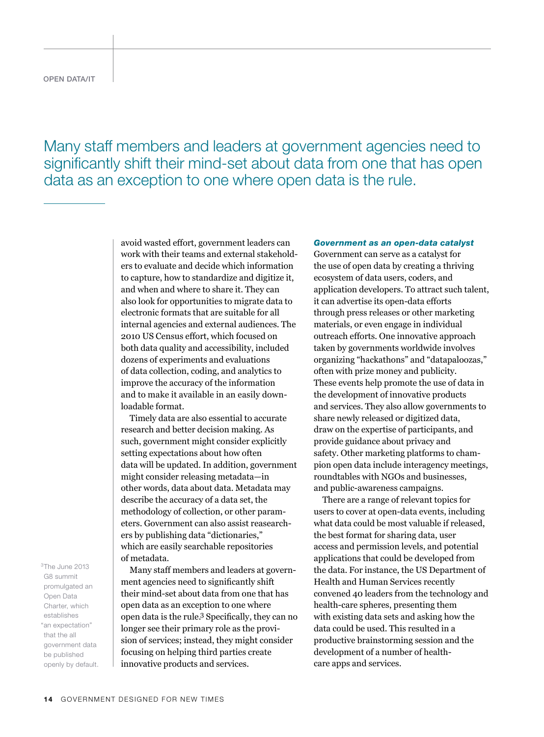open data/it

Many staff members and leaders at government agencies need to significantly shift their mind-set about data from one that has open data as an exception to one where open data is the rule.

> avoid wasted effort, government leaders can work with their teams and external stakeholders to evaluate and decide which information to capture, how to standardize and digitize it, and when and where to share it. They can also look for opportunities to migrate data to electronic formats that are suitable for all internal agencies and external audiences. The 2010 US Census effort, which focused on both data quality and accessibility, included dozens of experiments and evaluations of data collection, coding, and analytics to improve the accuracy of the information and to make it available in an easily downloadable format.

> Timely data are also essential to accurate research and better decision making. As such, government might consider explicitly setting expectations about how often data will be updated. In addition, government might consider releasing metadata—in other words, data about data. Metadata may describe the accuracy of a data set, the methodology of collection, or other parameters. Government can also assist reasearchers by publishing data "dictionaries," which are easily searchable repositories of metadata.

> Many staff members and leaders at government agencies need to significantly shift their mind-set about data from one that has open data as an exception to one where open data is the rule.3 Specifically, they can no longer see their primary role as the provision of services; instead, they might consider focusing on helping third parties create innovative products and services.

*Government as an open-data catalyst*

Government can serve as a catalyst for the use of open data by creating a thriving ecosystem of data users, coders, and application developers. To attract such talent, it can advertise its open-data efforts through press releases or other marketing materials, or even engage in individual outreach efforts. One innovative approach taken by governments worldwide involves organizing "hackathons" and "datapaloozas," often with prize money and publicity. These events help promote the use of data in the development of innovative products and services. They also allow governments to share newly released or digitized data, draw on the expertise of participants, and provide guidance about privacy and safety. Other marketing platforms to champion open data include interagency meetings, roundtables with NGOs and businesses, and public-awareness campaigns.

There are a range of relevant topics for users to cover at open-data events, including what data could be most valuable if released, the best format for sharing data, user access and permission levels, and potential applications that could be developed from the data. For instance, the US Department of Health and Human Services recently convened 40 leaders from the technology and health-care spheres, presenting them with existing data sets and asking how the data could be used. This resulted in a productive brainstorming session and the development of a number of healthcare apps and services.

<sup>3</sup>The June 2013 G8 summit promulgated an Open Data Charter, which establishes "an expectation" that the all government data be published openly by default.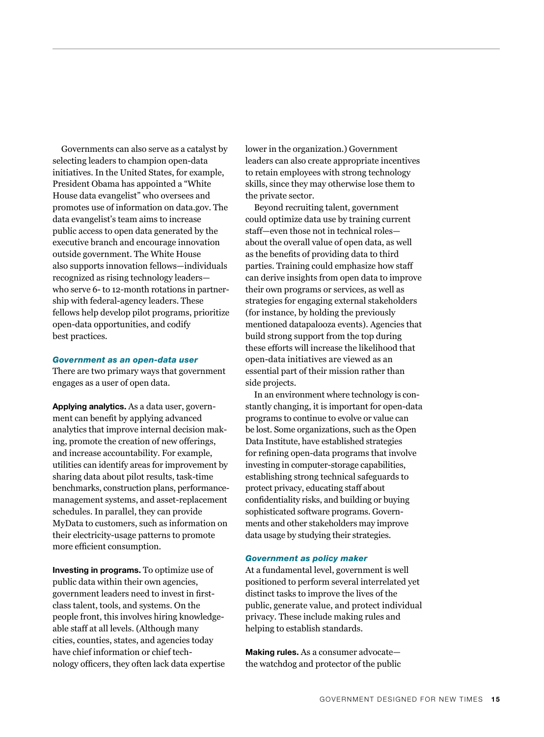Governments can also serve as a catalyst by selecting leaders to champion open-data initiatives. In the United States, for example, President Obama has appointed a "White House data evangelist" who oversees and promotes use of information on data.gov. The data evangelist's team aims to increase public access to open data generated by the executive branch and encourage innovation outside government. The White House also supports innovation fellows—individuals recognized as rising technology leaders who serve 6- to 12-month rotations in partnership with federal-agency leaders. These fellows help develop pilot programs, prioritize open-data opportunities, and codify best practices.

#### *Government as an open-data user*

There are two primary ways that government engages as a user of open data.

Applying analytics. As a data user, government can benefit by applying advanced analytics that improve internal decision making, promote the creation of new offerings, and increase accountability. For example, utilities can identify areas for improvement by sharing data about pilot results, task-time benchmarks, construction plans, performancemanagement systems, and asset-replacement schedules. In parallel, they can provide MyData to customers, such as information on their electricity-usage patterns to promote more efficient consumption.

Investing in programs. To optimize use of public data within their own agencies, government leaders need to invest in firstclass talent, tools, and systems. On the people front, this involves hiring knowledgeable staff at all levels. (Although many cities, counties, states, and agencies today have chief information or chief technology officers, they often lack data expertise lower in the organization.) Government leaders can also create appropriate incentives to retain employees with strong technology skills, since they may otherwise lose them to the private sector.

Beyond recruiting talent, government could optimize data use by training current staff—even those not in technical roles about the overall value of open data, as well as the benefits of providing data to third parties. Training could emphasize how staff can derive insights from open data to improve their own programs or services, as well as strategies for engaging external stakeholders (for instance, by holding the previously mentioned datapalooza events). Agencies that build strong support from the top during these efforts will increase the likelihood that open-data initiatives are viewed as an essential part of their mission rather than side projects.

In an environment where technology is constantly changing, it is important for open-data programs to continue to evolve or value can be lost. Some organizations, such as the Open Data Institute, have established strategies for refining open-data programs that involve investing in computer-storage capabilities, establishing strong technical safeguards to protect privacy, educating staff about confidentiality risks, and building or buying sophisticated software programs. Governments and other stakeholders may improve data usage by studying their strategies.

#### *Government as policy maker*

At a fundamental level, government is well positioned to perform several interrelated yet distinct tasks to improve the lives of the public, generate value, and protect individual privacy. These include making rules and helping to establish standards.

Making rules. As a consumer advocate the watchdog and protector of the public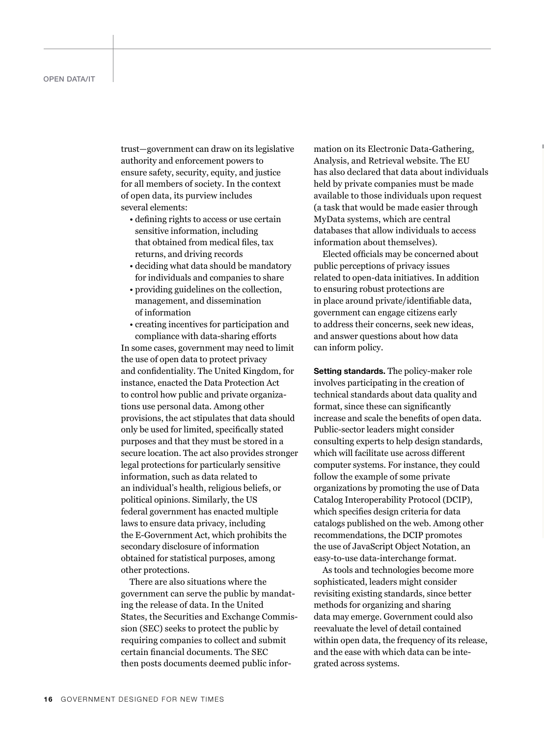trust—government can draw on its legislative authority and enforcement powers to ensure safety, security, equity, and justice for all members of society. In the context of open data, its purview includes several elements:

- defining rights to access or use certain sensitive information, including that obtained from medical files, tax returns, and driving records
- deciding what data should be mandatory for individuals and companies to share
- providing guidelines on the collection, management, and dissemination of information
- creating incentives for participation and compliance with data-sharing efforts

In some cases, government may need to limit the use of open data to protect privacy and confidentiality. The United Kingdom, for instance, enacted the Data Protection Act to control how public and private organizations use personal data. Among other provisions, the act stipulates that data should only be used for limited, specifically stated purposes and that they must be stored in a secure location. The act also provides stronger legal protections for particularly sensitive information, such as data related to an individual's health, religious beliefs, or political opinions. Similarly, the US federal government has enacted multiple laws to ensure data privacy, including the E-Government Act, which prohibits the secondary disclosure of information obtained for statistical purposes, among other protections.

There are also situations where the government can serve the public by mandating the release of data. In the United States, the Securities and Exchange Commission (SEC) seeks to protect the public by requiring companies to collect and submit certain financial documents. The SEC then posts documents deemed public information on its Electronic Data-Gathering, Analysis, and Retrieval website. The EU has also declared that data about individuals held by private companies must be made available to those individuals upon request (a task that would be made easier through MyData systems, which are central databases that allow individuals to access information about themselves).

Elected officials may be concerned about public perceptions of privacy issues related to open-data initiatives. In addition to ensuring robust protections are in place around private/identifiable data, government can engage citizens early to address their concerns, seek new ideas, and answer questions about how data can inform policy.

Setting standards. The policy-maker role involves participating in the creation of technical standards about data quality and format, since these can significantly increase and scale the benefits of open data. Public-sector leaders might consider consulting experts to help design standards, which will facilitate use across different computer systems. For instance, they could follow the example of some private organizations by promoting the use of Data Catalog Interoperability Protocol (DCIP), which specifies design criteria for data catalogs published on the web. Among other recommendations, the DCIP promotes the use of JavaScript Object Notation, an easy-to-use data-interchange format.

As tools and technologies become more sophisticated, leaders might consider revisiting existing standards, since better methods for organizing and sharing data may emerge. Government could also reevaluate the level of detail contained within open data, the frequency of its release, and the ease with which data can be integrated across systems.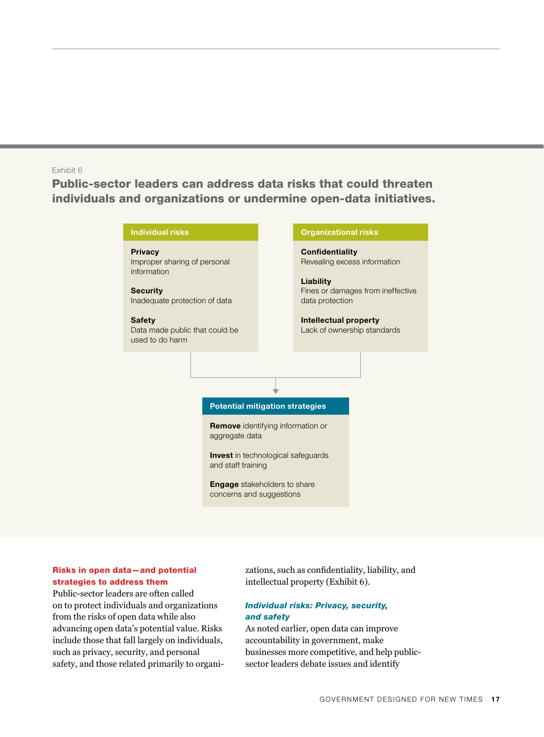## Exhibit 6

Public-sector leaders can address data risks that could threaten individuals and organizations or undermine open-data initiatives.



## Risks in open data—and potential strategies to address them

Public-sector leaders are often called on to protect individuals and organizations from the risks of open data while also advancing open data's potential value. Risks include those that fall largely on individuals, such as privacy, security, and personal safety, and those related primarily to organizations, such as confidentiality, liability, and intellectual property (Exhibit 6).

## *Individual risks: Privacy, security, and safety*

As noted earlier, open data can improve accountability in government, make businesses more competitive, and help publicsector leaders debate issues and identify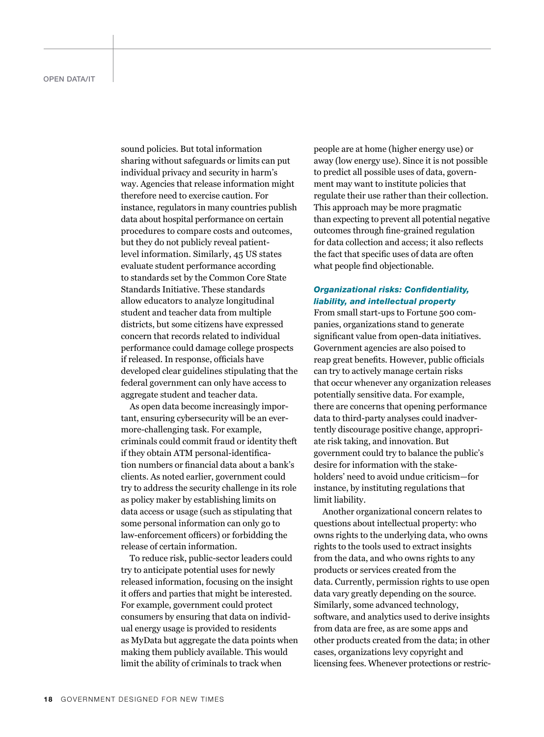sound policies. But total information sharing without safeguards or limits can put individual privacy and security in harm's way. Agencies that release information might therefore need to exercise caution. For instance, regulators in many countries publish data about hospital performance on certain procedures to compare costs and outcomes, but they do not publicly reveal patientlevel information. Similarly, 45 US states evaluate student performance according to standards set by the Common Core State Standards Initiative. These standards allow educators to analyze longitudinal student and teacher data from multiple districts, but some citizens have expressed concern that records related to individual performance could damage college prospects if released. In response, officials have developed clear guidelines stipulating that the federal government can only have access to aggregate student and teacher data.

As open data become increasingly important, ensuring cybersecurity will be an evermore-challenging task. For example, criminals could commit fraud or identity theft if they obtain ATM personal-identification numbers or financial data about a bank's clients. As noted earlier, government could try to address the security challenge in its role as policy maker by establishing limits on data access or usage (such as stipulating that some personal information can only go to law-enforcement officers) or forbidding the release of certain information.

To reduce risk, public-sector leaders could try to anticipate potential uses for newly released information, focusing on the insight it offers and parties that might be interested. For example, government could protect consumers by ensuring that data on individual energy usage is provided to residents as MyData but aggregate the data points when making them publicly available. This would limit the ability of criminals to track when

people are at home (higher energy use) or away (low energy use). Since it is not possible to predict all possible uses of data, government may want to institute policies that regulate their use rather than their collection. This approach may be more pragmatic than expecting to prevent all potential negative outcomes through fine-grained regulation for data collection and access; it also reflects the fact that specific uses of data are often what people find objectionable.

## *Organizational risks: Confidentiality, liability, and intellectual property*

From small start-ups to Fortune 500 companies, organizations stand to generate significant value from open-data initiatives. Government agencies are also poised to reap great benefits. However, public officials can try to actively manage certain risks that occur whenever any organization releases potentially sensitive data. For example, there are concerns that opening performance data to third-party analyses could inadvertently discourage positive change, appropriate risk taking, and innovation. But government could try to balance the public's desire for information with the stakeholders' need to avoid undue criticism—for instance, by instituting regulations that limit liability.

Another organizational concern relates to questions about intellectual property: who owns rights to the underlying data, who owns rights to the tools used to extract insights from the data, and who owns rights to any products or services created from the data. Currently, permission rights to use open data vary greatly depending on the source. Similarly, some advanced technology, software, and analytics used to derive insights from data are free, as are some apps and other products created from the data; in other cases, organizations levy copyright and licensing fees. Whenever protections or restric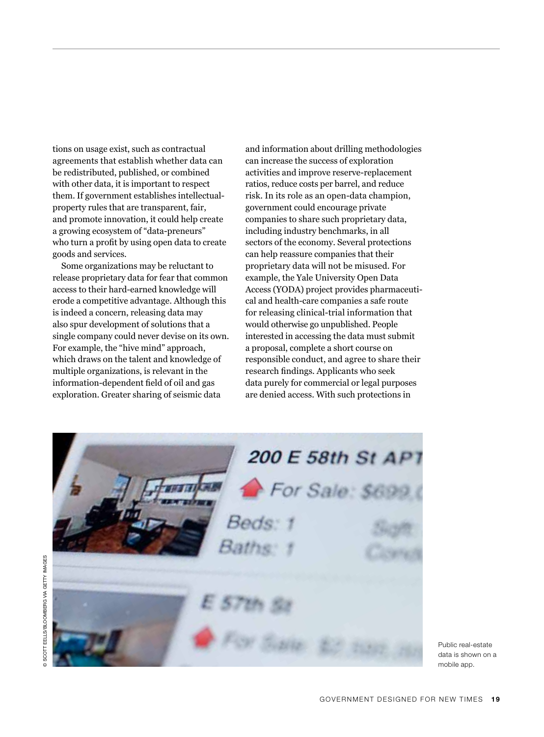tions on usage exist, such as contractual agreements that establish whether data can be redistributed, published, or combined with other data, it is important to respect them. If government establishes intellectualproperty rules that are transparent, fair, and promote innovation, it could help create a growing ecosystem of "data-preneurs" who turn a profit by using open data to create goods and services.

Some organizations may be reluctant to release proprietary data for fear that common access to their hard-earned knowledge will erode a competitive advantage. Although this is indeed a concern, releasing data may also spur development of solutions that a single company could never devise on its own. For example, the "hive mind" approach, which draws on the talent and knowledge of multiple organizations, is relevant in the information-dependent field of oil and gas exploration. Greater sharing of seismic data

and information about drilling methodologies can increase the success of exploration activities and improve reserve-replacement ratios, reduce costs per barrel, and reduce risk. In its role as an open-data champion, government could encourage private companies to share such proprietary data, including industry benchmarks, in all sectors of the economy. Several protections can help reassure companies that their proprietary data will not be misused. For example, the Yale University Open Data Access (YODA) project provides pharmaceutical and health-care companies a safe route for releasing clinical-trial information that would otherwise go unpublished. People interested in accessing the data must submit a proposal, complete a short course on responsible conduct, and agree to share their research findings. Applicants who seek data purely for commercial or legal purposes are denied access. With such protections in



Public real-estate data is shown on a mobile app.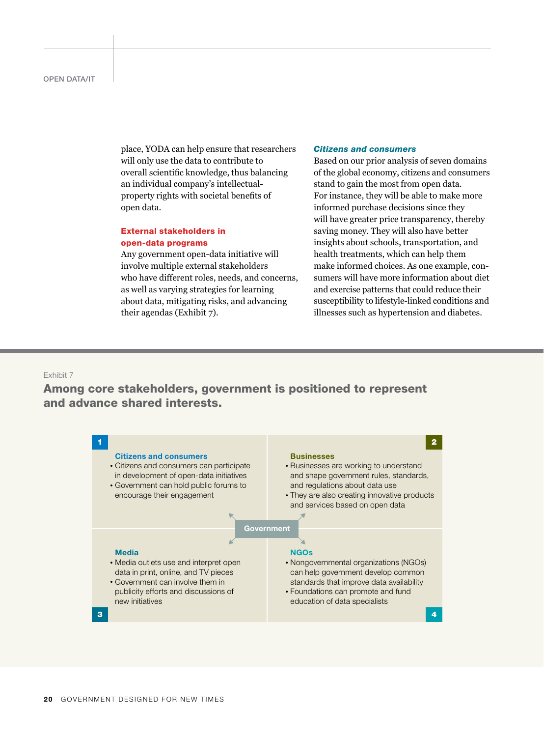place, YODA can help ensure that researchers will only use the data to contribute to overall scientific knowledge, thus balancing an individual company's intellectualproperty rights with societal benefits of open data.

## External stakeholders in open-data programs

Any government open-data initiative will involve multiple external stakeholders who have different roles, needs, and concerns, as well as varying strategies for learning as wen as varying strategies for fearing<br>about data, mitigating risks, and advancing their agendas (Exhibit 7).

#### *Citizens and consumers*

Based on our prior analysis of seven domains of the global economy, citizens and consumers stand to gain the most from open data. For instance, they will be able to make more informed purchase decisions since they will have greater price transparency, thereby saving money. They will also have better insights about schools, transportation, and health treatments, which can help them make informed choices. As one example, consumers will have more information about diet and exercise patterns that could reduce their susceptibility to lifestyle-linked conditions and illnesses such as hypertension and diabetes.

#### Exhibit 7

# Among core stakeholders, government is positioned to represent and advance shared interests.

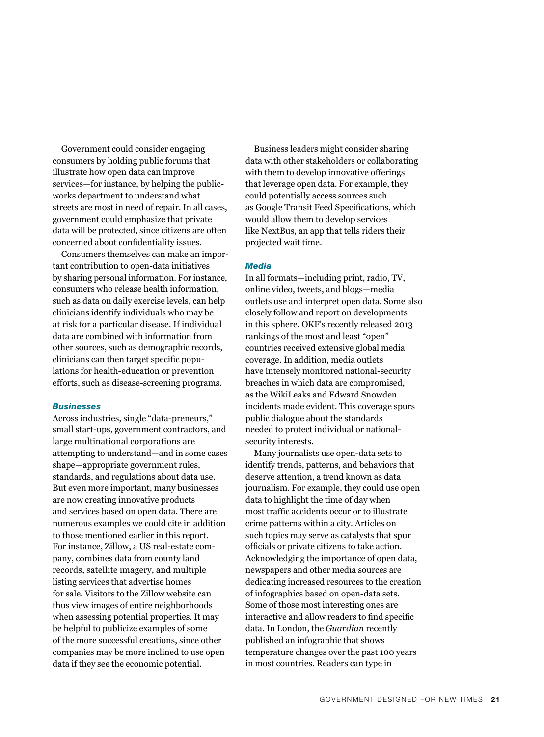Government could consider engaging consumers by holding public forums that illustrate how open data can improve services—for instance, by helping the publicworks department to understand what streets are most in need of repair. In all cases, government could emphasize that private data will be protected, since citizens are often concerned about confidentiality issues.

Consumers themselves can make an important contribution to open-data initiatives by sharing personal information. For instance, consumers who release health information, such as data on daily exercise levels, can help clinicians identify individuals who may be at risk for a particular disease. If individual data are combined with information from other sources, such as demographic records, clinicians can then target specific populations for health-education or prevention efforts, such as disease-screening programs.

#### *Businesses*

Across industries, single "data-preneurs," small start-ups, government contractors, and large multinational corporations are attempting to understand—and in some cases shape—appropriate government rules, standards, and regulations about data use. But even more important, many businesses are now creating innovative products and services based on open data. There are numerous examples we could cite in addition to those mentioned earlier in this report. For instance, Zillow, a US real-estate company, combines data from county land records, satellite imagery, and multiple listing services that advertise homes for sale. Visitors to the Zillow website can thus view images of entire neighborhoods when assessing potential properties. It may be helpful to publicize examples of some of the more successful creations, since other companies may be more inclined to use open data if they see the economic potential.

Business leaders might consider sharing data with other stakeholders or collaborating with them to develop innovative offerings that leverage open data. For example, they could potentially access sources such as Google Transit Feed Specifications, which would allow them to develop services like NextBus, an app that tells riders their projected wait time.

#### *Media*

In all formats—including print, radio, TV, online video, tweets, and blogs—media outlets use and interpret open data. Some also closely follow and report on developments in this sphere. OKF's recently released 2013 rankings of the most and least "open" countries received extensive global media coverage. In addition, media outlets have intensely monitored national-security breaches in which data are compromised, as the WikiLeaks and Edward Snowden incidents made evident. This coverage spurs public dialogue about the standards needed to protect individual or nationalsecurity interests.

Many journalists use open-data sets to identify trends, patterns, and behaviors that deserve attention, a trend known as data journalism. For example, they could use open data to highlight the time of day when most traffic accidents occur or to illustrate crime patterns within a city. Articles on such topics may serve as catalysts that spur officials or private citizens to take action. Acknowledging the importance of open data, newspapers and other media sources are dedicating increased resources to the creation of infographics based on open-data sets. Some of those most interesting ones are interactive and allow readers to find specific data. In London, the *Guardian* recently published an infographic that shows temperature changes over the past 100 years in most countries. Readers can type in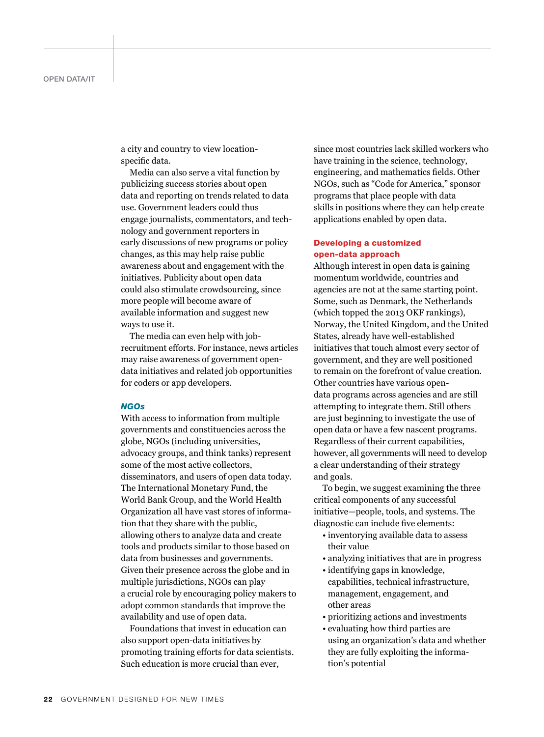a city and country to view locationspecific data.

Media can also serve a vital function by publicizing success stories about open data and reporting on trends related to data use. Government leaders could thus engage journalists, commentators, and technology and government reporters in early discussions of new programs or policy changes, as this may help raise public awareness about and engagement with the initiatives. Publicity about open data could also stimulate crowdsourcing, since more people will become aware of available information and suggest new ways to use it.

The media can even help with jobrecruitment efforts. For instance, news articles may raise awareness of government opendata initiatives and related job opportunities for coders or app developers.

#### *NGOs*

With access to information from multiple governments and constituencies across the globe, NGOs (including universities, advocacy groups, and think tanks) represent some of the most active collectors, disseminators, and users of open data today. The International Monetary Fund, the World Bank Group, and the World Health Organization all have vast stores of information that they share with the public, allowing others to analyze data and create tools and products similar to those based on data from businesses and governments. Given their presence across the globe and in multiple jurisdictions, NGOs can play a crucial role by encouraging policy makers to adopt common standards that improve the availability and use of open data.

Foundations that invest in education can also support open-data initiatives by promoting training efforts for data scientists. Such education is more crucial than ever,

since most countries lack skilled workers who have training in the science, technology, engineering, and mathematics fields. Other NGOs, such as "Code for America," sponsor programs that place people with data skills in positions where they can help create applications enabled by open data.

## Developing a customized open-data approach

Although interest in open data is gaining momentum worldwide, countries and agencies are not at the same starting point. Some, such as Denmark, the Netherlands (which topped the 2013 OKF rankings), Norway, the United Kingdom, and the United States, already have well-established initiatives that touch almost every sector of government, and they are well positioned to remain on the forefront of value creation. Other countries have various opendata programs across agencies and are still attempting to integrate them. Still others are just beginning to investigate the use of open data or have a few nascent programs. Regardless of their current capabilities, however, all governments will need to develop a clear understanding of their strategy and goals.

To begin, we suggest examining the three critical components of any successful initiative—people, tools, and systems. The diagnostic can include five elements:

- inventorying available data to assess their value
- analyzing initiatives that are in progress
- identifying gaps in knowledge, capabilities, technical infrastructure, management, engagement, and other areas
- prioritizing actions and investments
- evaluating how third parties are using an organization's data and whether they are fully exploiting the information's potential